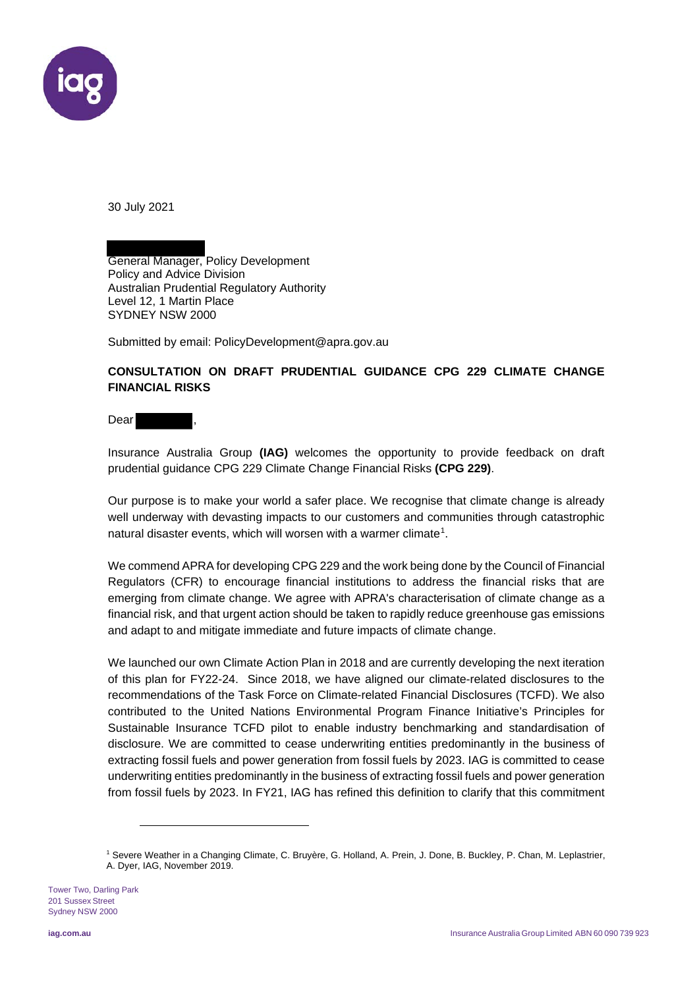

30 July 2021

General Manager, Policy Development Policy and Advice Division Australian Prudential Regulatory Authority Level 12, 1 Martin Place SYDNEY NSW 2000

Submitted by email: PolicyDevelopment@apra.gov.au

## **CONSULTATION ON DRAFT PRUDENTIAL GUIDANCE CPG 229 CLIMATE CHANGE FINANCIAL RISKS**

Dear

Insurance Australia Group **(IAG)** welcomes the opportunity to provide feedback on draft prudential guidance CPG 229 Climate Change Financial Risks **(CPG 229)**.

Our purpose is to make your world a safer place. We recognise that climate change is already well underway with devasting impacts to our customers and communities through catastrophic natural disaster events, which will worsen with a warmer climate<sup>1</sup>.

We commend APRA for developing CPG 229 and the work being done by the Council of Financial Regulators (CFR) to encourage financial institutions to address the financial risks that are emerging from climate change. We agree with APRA's characterisation of climate change as a financial risk, and that urgent action should be taken to rapidly reduce greenhouse gas emissions and adapt to and mitigate immediate and future impacts of climate change.

We launched our own Climate Action Plan in 2018 and are currently developing the next iteration of this plan for FY22-24.Since 2018, we have aligned our climate-related disclosures to the recommendations of the Task Force on Climate-related Financial Disclosures (TCFD). We also contributed to the United Nations Environmental Program Finance Initiative's Principles for Sustainable Insurance TCFD pilot to enable industry benchmarking and standardisation of disclosure. We are committed to cease underwriting entities predominantly in the business of extracting fossil fuels and power generation from fossil fuels by 2023. IAG is committed to cease underwriting entities predominantly in the business of extracting fossil fuels and power generation from fossil fuels by 2023. In FY21, IAG has refined this definition to clarify that this commitment

Tower Two, Darling Park 201 Sussex Street Sydney NSW 2000

<sup>1</sup> Severe Weather in a Changing Climate, C. Bruyère, G. Holland, A. Prein, J. Done, B. Buckley, P. Chan, M. Leplastrier, A. Dyer, IAG, November 2019.